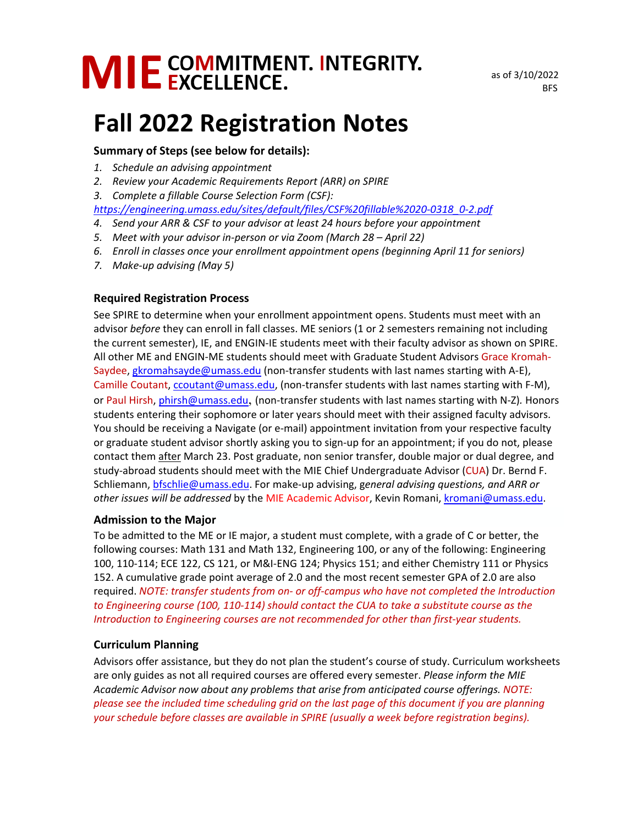# MIE COMMITMENT. INTEGRITY.

# **Fall 2022 Registration Notes**

#### **Summary of Steps (see below for details):**

- *1. Schedule an advising appointment*
- *2. Review your Academic Requirements Report (ARR) on SPIRE*
- *3. Complete a fillable Course Selection Form (CSF):*

*[https://engineering.umass.edu/sites/default/files/CSF%20fillable%2020-0318\\_0-2.pdf](https://engineering.umass.edu/sites/default/files/CSF%20fillable%2020-0318_0-2.pdf)* 

- *4. Send your ARR & CSF to your advisor at least 24 hours before your appointment*
- *5. Meet with your advisor in-person or via Zoom (March 28 April 22)*
- *6. Enroll in classes once your enrollment appointment opens (beginning April 11 for seniors)*
- *7. Make-up advising (May 5)*

# **Required Registration Process**

See SPIRE to determine when your enrollment appointment opens. Students must meet with an advisor *before* they can enroll in fall classes. ME seniors (1 or 2 semesters remaining not including the current semester), IE, and ENGIN-IE students meet with their faculty advisor as shown on SPIRE. All other ME and ENGIN-ME students should meet with Graduate Student Advisors Grace Kromah-Saydee, [gkromahsayde@umass.edu](mailto:gkromahsayde@umass.edu) (non-transfer students with last names starting with A-E), Camille Coutant[, ccoutant@umass.edu,](mailto:ccoutant@umass.edu) (non-transfer students with last names starting with F-M), or Paul Hirsh, [phirsh@umass.edu](mailto:phirsh@umass.edu), (non-transfer students with last names starting with N-Z)*.* Honors students entering their sophomore or later years should meet with their assigned faculty advisors. You should be receiving a Navigate (or e-mail) appointment invitation from your respective faculty or graduate student advisor shortly asking you to sign-up for an appointment; if you do not, please contact them after March 23. Post graduate, non senior transfer, double major or dual degree, and study-abroad students should meet with the MIE Chief Undergraduate Advisor (CUA) Dr. Bernd F. Schliemann, [bfschlie@umass.edu.](mailto:bfschlie@umass.edu) For make-up advising, g*eneral advising questions, and ARR or other issues will be addressed* by the MIE Academic Advisor, Kevin Romani, [kromani@umass.edu.](mailto:kromani@umass.edu)

#### **Admission to the Major**

To be admitted to the ME or IE major, a student must complete, with a grade of C or better, the following courses: Math 131 and Math 132, Engineering 100, or any of the following: Engineering 100, 110-114; ECE 122, CS 121, or M&I-ENG 124; Physics 151; and either Chemistry 111 or Physics 152. A cumulative grade point average of 2.0 and the most recent semester GPA of 2.0 are also required. *NOTE: transfer students from on- or off-campus who have not completed the Introduction to Engineering course (100, 110-114) should contact the CUA to take a substitute course as the Introduction to Engineering courses are not recommended for other than first-year students.*

# **Curriculum Planning**

Advisors offer assistance, but they do not plan the student's course of study. Curriculum worksheets are only guides as not all required courses are offered every semester. *Please inform the MIE Academic Advisor now about any problems that arise from anticipated course offerings. NOTE: please see the included time scheduling grid on the last page of this document if you are planning your schedule before classes are available in SPIRE (usually a week before registration begins).*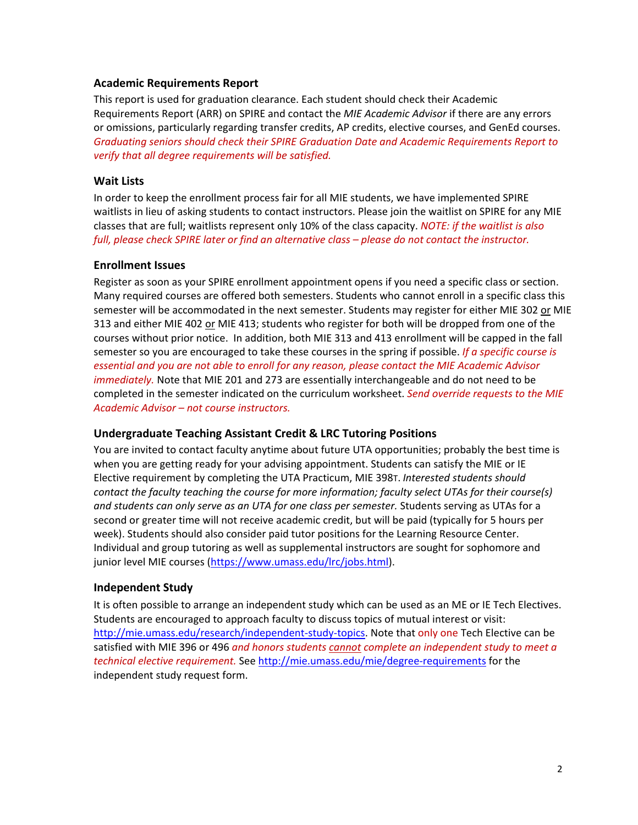#### **Academic Requirements Report**

This report is used for graduation clearance. Each student should check their Academic Requirements Report (ARR) on SPIRE and contact the *MIE Academic Advisor* if there are any errors or omissions, particularly regarding transfer credits, AP credits, elective courses, and GenEd courses. *Graduating seniors should check their SPIRE Graduation Date and Academic Requirements Report to verify that all degree requirements will be satisfied.*

#### **Wait Lists**

In order to keep the enrollment process fair for all MIE students, we have implemented SPIRE waitlists in lieu of asking students to contact instructors. Please join the waitlist on SPIRE for any MIE classes that are full; waitlists represent only 10% of the class capacity. *NOTE: if the waitlist is also full, please check SPIRE later or find an alternative class – please do not contact the instructor.*

#### **Enrollment Issues**

Register as soon as your SPIRE enrollment appointment opens if you need a specific class or section. Many required courses are offered both semesters. Students who cannot enroll in a specific class this semester will be accommodated in the next semester. Students may register for either MIE 302 or MIE 313 and either MIE 402 or MIE 413; students who register for both will be dropped from one of the courses without prior notice. In addition, both MIE 313 and 413 enrollment will be capped in the fall semester so you are encouraged to take these courses in the spring if possible. *If a specific course is essential and you are not able to enroll for any reason, please contact the MIE Academic Advisor immediately.* Note that MIE 201 and 273 are essentially interchangeable and do not need to be completed in the semester indicated on the curriculum worksheet. *Send override requests to the MIE Academic Advisor – not course instructors.*

#### **Undergraduate Teaching Assistant Credit & LRC Tutoring Positions**

You are invited to contact faculty anytime about future UTA opportunities; probably the best time is when you are getting ready for your advising appointment. Students can satisfy the MIE or IE Elective requirement by completing the UTA Practicum, MIE 398T. *Interested students should contact the faculty teaching the course for more information; faculty select UTAs for their course(s) and students can only serve as an UTA for one class per semester.* Students serving as UTAs for a second or greater time will not receive academic credit, but will be paid (typically for 5 hours per week). Students should also consider paid tutor positions for the Learning Resource Center. Individual and group tutoring as well as supplemental instructors are sought for sophomore and junior level MIE courses [\(https://www.umass.edu/lrc/jobs.html\)](https://www.umass.edu/lrc/jobs.html).

#### **Independent Study**

It is often possible to arrange an independent study which can be used as an ME or IE Tech Electives. Students are encouraged to approach faculty to discuss topics of mutual interest or visit: [http://mie.umass.edu/research/independent-study-topics.](http://mie.umass.edu/research/independent-study-topics) Note that only one Tech Elective can be satisfied with MIE 396 or 496 *and honors students cannot complete an independent study to meet a technical elective requirement.* See<http://mie.umass.edu/mie/degree-requirements> for the independent study request form.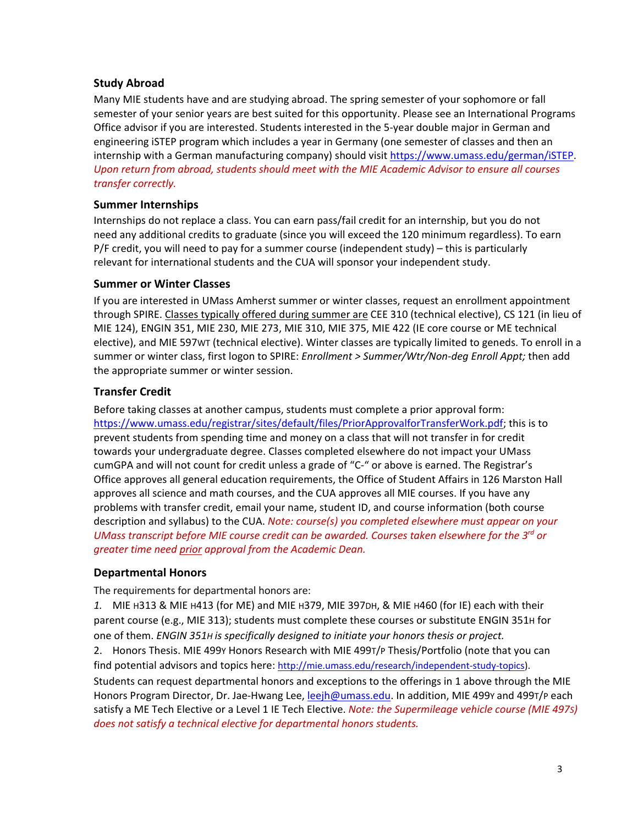#### **Study Abroad**

Many MIE students have and are studying abroad. The spring semester of your sophomore or fall semester of your senior years are best suited for this opportunity. Please see an International Programs Office advisor if you are interested. Students interested in the 5-year double major in German and engineering iSTEP program which includes a year in Germany (one semester of classes and then an internship with a German manufacturing company) should visi[t https://www.umass.edu/german/iSTEP.](https://www.umass.edu/german/iSTEP) *Upon return from abroad, students should meet with the MIE Academic Advisor to ensure all courses transfer correctly.*

#### **Summer Internships**

Internships do not replace a class. You can earn pass/fail credit for an internship, but you do not need any additional credits to graduate (since you will exceed the 120 minimum regardless). To earn P/F credit, you will need to pay for a summer course (independent study) – this is particularly relevant for international students and the CUA will sponsor your independent study.

#### **Summer or Winter Classes**

If you are interested in UMass Amherst summer or winter classes, request an enrollment appointment through SPIRE. Classes typically offered during summer are CEE 310 (technical elective), CS 121 (in lieu of MIE 124), ENGIN 351, MIE 230, MIE 273, MIE 310, MIE 375, MIE 422 (IE core course or ME technical elective), and MIE 597WT (technical elective). Winter classes are typically limited to geneds. To enroll in a summer or winter class, first logon to SPIRE: *Enrollment > Summer/Wtr/Non-deg Enroll Appt;* then add the appropriate summer or winter session.

# **Transfer Credit**

Before taking classes at another campus, students must complete a prior approval form: [https://www.umass.edu/registrar/sites/default/files/PriorApprovalforTransferWork.pdf;](https://www.umass.edu/registrar/sites/default/files/PriorApprovalforTransferWork.pdf) this is to prevent students from spending time and money on a class that will not transfer in for credit towards your undergraduate degree. Classes completed elsewhere do not impact your UMass cumGPA and will not count for credit unless a grade of "C-" or above is earned. The Registrar's Office approves all general education requirements, the Office of Student Affairs in 126 Marston Hall approves all science and math courses, and the CUA approves all MIE courses. If you have any problems with transfer credit, email your name, student ID, and course information (both course description and syllabus) to the CUA. *Note: course(s) you completed elsewhere must appear on your UMass transcript before MIE course credit can be awarded. Courses taken elsewhere for the 3rd or greater time need prior approval from the Academic Dean.*

#### **Departmental Honors**

The requirements for departmental honors are:

*1.* MIE H313 & MIE H413 (for ME) and MIE H379, MIE 397DH, & MIE H460 (for IE) each with their parent course (e.g., MIE 313); students must complete these courses or substitute ENGIN 351H for one of them. *ENGIN 351H is specifically designed to initiate your honors thesis or project.*

2. Honors Thesis. MIE 499Y Honors Research with MIE 499T/P Thesis/Portfolio (note that you can find potential advisors and topics here[: http://mie.umass.edu/research/independent-study-topics\)](http://mie.umass.edu/research/independent-study-topics).

Students can request departmental honors and exceptions to the offerings in 1 above through the MIE Honors Program Director, Dr. Jae-Hwang Lee, [leejh@umass.edu.](mailto:leejh@umass.edu) In addition, MIE 499 and 499T/P each satisfy a ME Tech Elective or a Level 1 IE Tech Elective. *Note: the Supermileage vehicle course (MIE 497S) does not satisfy a technical elective for departmental honors students.*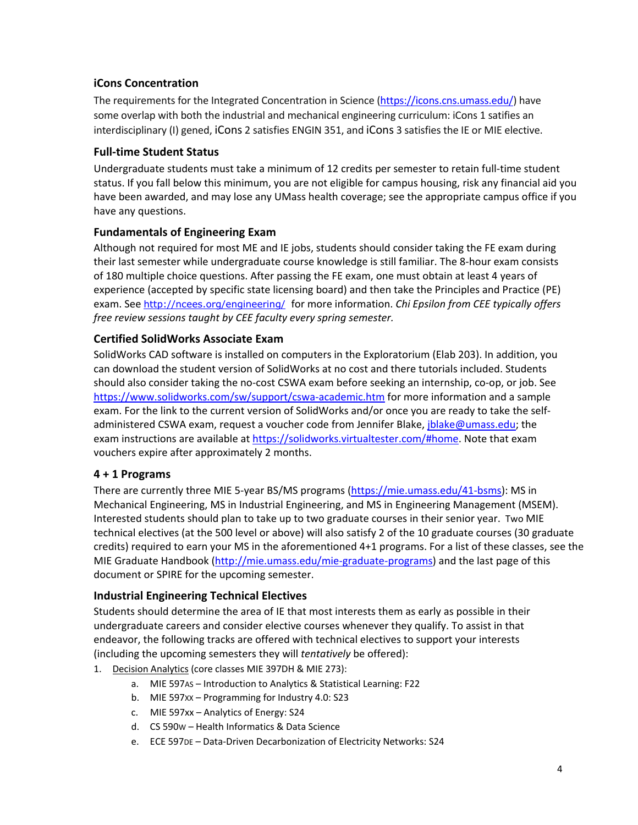# **iCons Concentration**

The requirements for the Integrated Concentration in Science [\(https://icons.cns.umass.edu/\)](https://icons.cns.umass.edu/) have some overlap with both the industrial and mechanical engineering curriculum: iCons 1 satifies an interdisciplinary (I) gened, iCons 2 satisfies ENGIN 351, and iCons 3 satisfies the IE or MIE elective.

#### **Full-time Student Status**

Undergraduate students must take a minimum of 12 credits per semester to retain full-time student status. If you fall below this minimum, you are not eligible for campus housing, risk any financial aid you have been awarded, and may lose any UMass health coverage; see the appropriate campus office if you have any questions.

#### **Fundamentals of Engineering Exam**

Although not required for most ME and IE jobs, students should consider taking the FE exam during their last semester while undergraduate course knowledge is still familiar. The 8-hour exam consists of 180 multiple choice questions. After passing the FE exam, one must obtain at least 4 years of experience (accepted by specific state licensing board) and then take the Principles and Practice (PE) exam. See <http://ncees.org/engineering/> for more information. *Chi Epsilon from CEE typically offers free review sessions taught by CEE faculty every spring semester.*

# **Certified SolidWorks Associate Exam**

SolidWorks CAD software is installed on computers in the Exploratorium (Elab 203). In addition, you can download the student version of SolidWorks at no cost and there tutorials included. Students should also consider taking the no-cost CSWA exam before seeking an internship, co-op, or job. See <https://www.solidworks.com/sw/support/cswa-academic.htm> for more information and a sample exam. For the link to the current version of SolidWorks and/or once you are ready to take the selfadministered CSWA exam, request a voucher code from Jennifer Blake, [jblake@umass.edu;](mailto:jblake@umass.edu) the exam instructions are available at [https://solidworks.virtualtester.com/#home.](https://solidworks.virtualtester.com/#home) Note that exam vouchers expire after approximately 2 months.

#### **4 + 1 Programs**

There are currently three MIE 5-year BS/MS programs [\(https://mie.umass.edu/41-bsms\)](https://mie.umass.edu/41-bsms): MS in Mechanical Engineering, MS in Industrial Engineering, and MS in Engineering Management (MSEM). Interested students should plan to take up to two graduate courses in their senior year. Two MIE technical electives (at the 500 level or above) will also satisfy 2 of the 10 graduate courses (30 graduate credits) required to earn your MS in the aforementioned 4+1 programs. For a list of these classes, see the MIE Graduate Handbook [\(http://mie.umass.edu/mie-graduate-programs\)](http://mie.umass.edu/mie-graduate-programs) and the last page of this document or SPIRE for the upcoming semester.

# **Industrial Engineering Technical Electives**

Students should determine the area of IE that most interests them as early as possible in their undergraduate careers and consider elective courses whenever they qualify. To assist in that endeavor, the following tracks are offered with technical electives to support your interests (including the upcoming semesters they will *tentatively* be offered):

- 1. Decision Analytics (core classes MIE 397DH & MIE 273):
	- a. MIE 597AS Introduction to Analytics & Statistical Learning: F22
	- b. MIE 597XX Programming for Industry 4.0: S23
	- c. MIE 597xx Analytics of Energy: S24
	- d. CS 590W Health Informatics & Data Science
	- e. ECE 597DE Data-Driven Decarbonization of Electricity Networks: S24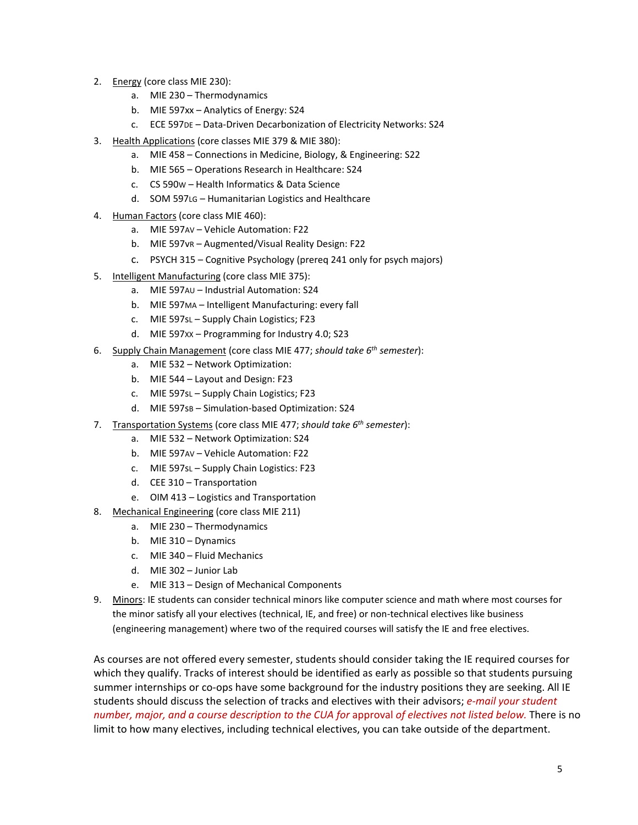- 2. Energy (core class MIE 230):
	- a. MIE 230 Thermodynamics
	- b. MIE 597xx Analytics of Energy: S24
	- c. ECE 597DE Data-Driven Decarbonization of Electricity Networks: S24
- 3. Health Applications (core classes MIE 379 & MIE 380):
	- a. MIE 458 Connections in Medicine, Biology, & Engineering: S22
	- b. MIE 565 Operations Research in Healthcare: S24
	- c. CS 590W Health Informatics & Data Science
	- d. SOM 597LG Humanitarian Logistics and Healthcare
- 4. Human Factors (core class MIE 460):
	- a. MIE 597AV Vehicle Automation: F22
	- b. MIE 597vR Augmented/Visual Reality Design: F22
	- c. PSYCH 315 Cognitive Psychology (prereq 241 only for psych majors)
- 5. Intelligent Manufacturing (core class MIE 375):
	- a. MIE 597AU Industrial Automation: S24
	- b. MIE 597MA Intelligent Manufacturing: every fall
	- c. MIE 597sL Supply Chain Logistics; F23
	- d. MIE 597XX Programming for Industry 4.0; S23
- 6. Supply Chain Management (core class MIE 477; *should take 6th semester*):
	- a. MIE 532 Network Optimization:
	- b. MIE 544 Layout and Design: F23
	- c. MIE 597sL Supply Chain Logistics; F23
	- d. MIE 597sB Simulation-based Optimization: S24
- 7. Transportation Systems (core class MIE 477; *should take 6th semester*):
	- a. MIE 532 Network Optimization: S24
	- b. MIE 597AV Vehicle Automation: F22
	- c. MIE 597sL Supply Chain Logistics: F23
	- d. CEE 310 Transportation
	- e. OIM 413 Logistics and Transportation
- 8. Mechanical Engineering (core class MIE 211)
	- a. MIE 230 Thermodynamics
	- b. MIE 310 Dynamics
	- c. MIE 340 Fluid Mechanics
	- d. MIE 302 Junior Lab
	- e. MIE 313 Design of Mechanical Components
- 9. Minors: IE students can consider technical minors like computer science and math where most courses for the minor satisfy all your electives (technical, IE, and free) or non-technical electives like business (engineering management) where two of the required courses will satisfy the IE and free electives.

As courses are not offered every semester, students should consider taking the IE required courses for which they qualify. Tracks of interest should be identified as early as possible so that students pursuing summer internships or co-ops have some background for the industry positions they are seeking. All IE students should discuss the selection of tracks and electives with their advisors; *e-mail your student number, major, and a course description to the CUA for* approval *of electives not listed below.* There is no limit to how many electives, including technical electives, you can take outside of the department.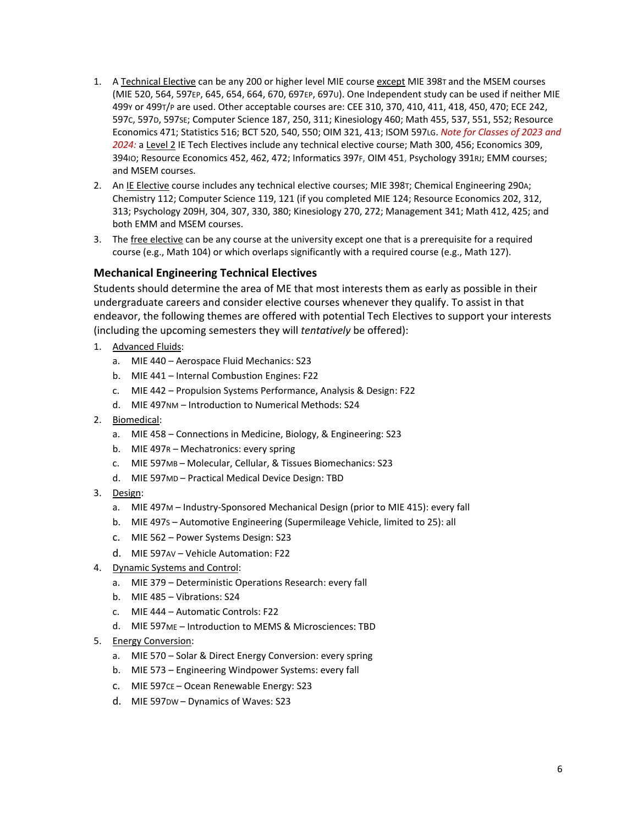- 1. A Technical Elective can be any 200 or higher level MIE course except MIE 398T and the MSEM courses (MIE 520, 564, 597EP, 645, 654, 664, 670, 697EP, 697U). One Independent study can be used if neither MIE 499Y or 499T/P are used. Other acceptable courses are: CEE 310, 370, 410, 411, 418, 450, 470; ECE 242, 597C, 597D, 597SE; Computer Science 187, 250, 311; Kinesiology 460; Math 455, 537, 551, 552; Resource Economics 471; Statistics 516; BCT 520, 540, 550; OIM 321, 413; ISOM 597LG. *Note for Classes of 2023 and 2024:* a Level 2 IE Tech Electives include any technical elective course; Math 300, 456; Economics 309, 394IO; Resource Economics 452, 462, 472; Informatics 397F, OIM 451, Psychology 391RJ; EMM courses; and MSEM courses.
- 2. An IE Elective course includes any technical elective courses; MIE 398T; Chemical Engineering 290A; Chemistry 112; Computer Science 119, 121 (if you completed MIE 124; Resource Economics 202, 312, 313; Psychology 209H, 304, 307, 330, 380; Kinesiology 270, 272; Management 341; Math 412, 425; and both EMM and MSEM courses.
- 3. The free elective can be any course at the university except one that is a prerequisite for a required course (e.g., Math 104) or which overlaps significantly with a required course (e.g., Math 127).

#### **Mechanical Engineering Technical Electives**

Students should determine the area of ME that most interests them as early as possible in their undergraduate careers and consider elective courses whenever they qualify. To assist in that endeavor, the following themes are offered with potential Tech Electives to support your interests (including the upcoming semesters they will *tentatively* be offered):

- 1. Advanced Fluids:
	- a. MIE 440 Aerospace Fluid Mechanics: S23
	- b. MIE 441 Internal Combustion Engines: F22
	- c. MIE 442 Propulsion Systems Performance, Analysis & Design: F22
	- d. MIE 497NM Introduction to Numerical Methods: S24
- 2. Biomedical:
	- a. MIE 458 Connections in Medicine, Biology, & Engineering: S23
	- b. MIE 497R Mechatronics: every spring
	- c. MIE 597MB Molecular, Cellular, & Tissues Biomechanics: S23
	- d. MIE 597MD Practical Medical Device Design: TBD
- 3. Design:
	- a. MIE 497M Industry-Sponsored Mechanical Design (prior to MIE 415): every fall
	- b. MIE 497S Automotive Engineering (Supermileage Vehicle, limited to 25): all
	- c. MIE 562 Power Systems Design: S23
	- d. MIE 597AV Vehicle Automation: F22
- 4. Dynamic Systems and Control:
	- a. MIE 379 Deterministic Operations Research: every fall
	- b. MIE 485 Vibrations: S24
	- c. MIE 444 Automatic Controls: F22
	- d. MIE 597ME Introduction to MEMS & Microsciences: TBD
- 5. Energy Conversion:
	- a. MIE 570 Solar & Direct Energy Conversion: every spring
	- b. MIE 573 Engineering Windpower Systems: every fall
	- c. MIE 597CE Ocean Renewable Energy: S23
	- d. MIE 597DW Dynamics of Waves: S23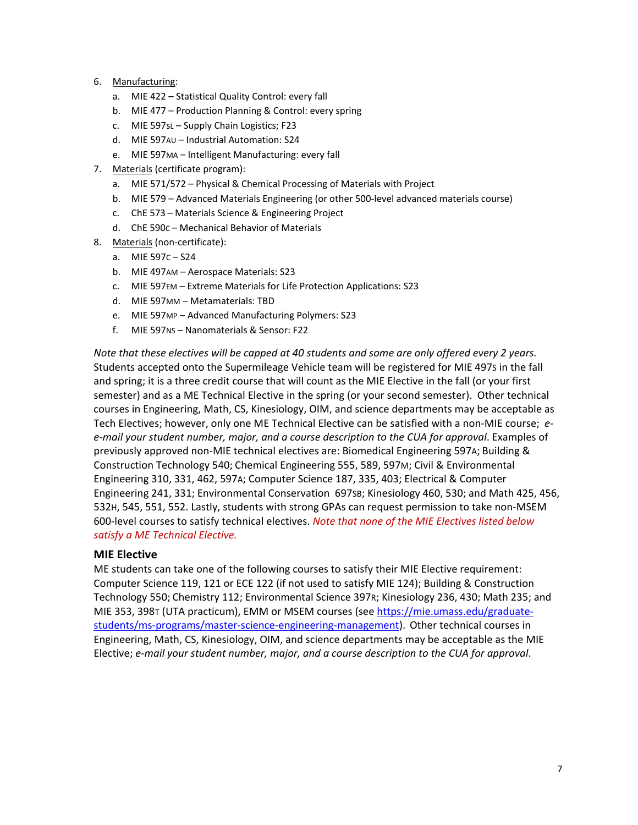- 6. Manufacturing:
	- a. MIE 422 Statistical Quality Control: every fall
	- b. MIE 477 Production Planning & Control: every spring
	- c. MIE 597sL Supply Chain Logistics; F23
	- d. MIE 597AU Industrial Automation: S24
	- e. MIE 597MA Intelligent Manufacturing: every fall
- 7. Materials (certificate program):
	- a. MIE 571/572 Physical & Chemical Processing of Materials with Project
	- b. MIE 579 Advanced Materials Engineering (or other 500-level advanced materials course)
	- c. ChE 573 Materials Science & Engineering Project
	- d. ChE 590C Mechanical Behavior of Materials
- 8. Materials (non-certificate):
	- a. MIE 597C S24
	- b. MIE 497AM Aerospace Materials: S23
	- c. MIE 597EM Extreme Materials for Life Protection Applications: S23
	- d. MIE 597MM Metamaterials: TBD
	- e. MIE 597MP Advanced Manufacturing Polymers: S23
	- f. MIE 597NS Nanomaterials & Sensor: F22

*Note that these electives will be capped at 40 students and some are only offered every 2 years.* Students accepted onto the Supermileage Vehicle team will be registered for MIE 497S in the fall and spring; it is a three credit course that will count as the MIE Elective in the fall (or your first semester) and as a ME Technical Elective in the spring (or your second semester). Other technical courses in Engineering, Math, CS, Kinesiology, OIM, and science departments may be acceptable as Tech Electives; however, only one ME Technical Elective can be satisfied with a non-MIE course; *ee-mail your student number, major, and a course description to the CUA for approval*. Examples of previously approved non-MIE technical electives are: Biomedical Engineering 597A; Building & Construction Technology 540; Chemical Engineering 555, 589, 597M; Civil & Environmental Engineering 310, 331, 462, 597A; Computer Science 187, 335, 403; Electrical & Computer Engineering 241, 331; Environmental Conservation 697SB; Kinesiology 460, 530; and Math 425, 456, 532H, 545, 551, 552. Lastly, students with strong GPAs can request permission to take non-MSEM 600-level courses to satisfy technical electives. *Note that none of the MIE Electives listed below satisfy a ME Technical Elective.*

#### **MIE Elective**

ME students can take one of the following courses to satisfy their MIE Elective requirement: Computer Science 119, 121 or ECE 122 (if not used to satisfy MIE 124); Building & Construction Technology 550; Chemistry 112; Environmental Science 397R; Kinesiology 236, 430; Math 235; and MIE 353, 398T (UTA practicum), EMM or MSEM courses (see [https://mie.umass.edu/graduate](https://mie.umass.edu/graduate-students/ms-programs/master-science-engineering-management)[students/ms-programs/master-science-engineering-management\)](https://mie.umass.edu/graduate-students/ms-programs/master-science-engineering-management). Other technical courses in Engineering, Math, CS, Kinesiology, OIM, and science departments may be acceptable as the MIE Elective; *e-mail your student number, major, and a course description to the CUA for approval*.